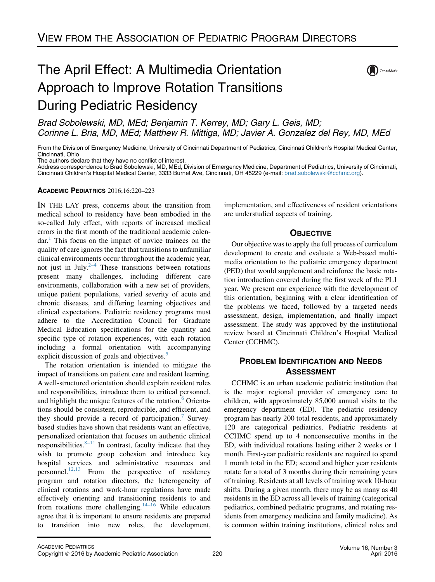# The April Effect: A Multimedia Orientation Approach to Improve Rotation Transitions During Pediatric Residency



Brad Sobolewski, MD, MEd; Benjamin T. Kerrey, MD; Gary L. Geis, MD; Corinne L. Bria, MD, MEd; Matthew R. Mittiga, MD; Javier A. Gonzalez del Rey, MD, MEd

From the Division of Emergency Medicine, University of Cincinnati Department of Pediatrics, Cincinnati Children's Hospital Medical Center, Cincinnati, Ohio

The authors declare that they have no conflict of interest.

Address correspondence to Brad Sobolewski, MD, MEd, Division of Emergency Medicine, Department of Pediatrics, University of Cincinnati, Cincinnati Children's Hospital Medical Center, 3333 Burnet Ave, Cincinnati, OH 45229 (e-mail: [brad.sobolewski@cchmc.org](mailto:brad.sobolewski@cchmc.org)).

#### ACADEMIC PEDIATRICS 2016;16:220–223

IN THE LAY press, concerns about the transition from medical school to residency have been embodied in the so-called July effect, with reports of increased medical errors in the first month of the traditional academic calen- $\text{dar.}^1$  $\text{dar.}^1$  This focus on the impact of novice trainees on the quality of care ignores the fact that transitions to unfamiliar clinical environments occur throughout the academic year, not just in July. $2-4$  These transitions between rotations present many challenges, including different care environments, collaboration with a new set of providers, unique patient populations, varied severity of acute and chronic diseases, and differing learning objectives and clinical expectations. Pediatric residency programs must adhere to the Accreditation Council for Graduate Medical Education specifications for the quantity and specific type of rotation experiences, with each rotation including a formal orientation with accompanying explicit discussion of goals and objectives.<sup>[5](#page-3-0)</sup>

The rotation orientation is intended to mitigate the impact of transitions on patient care and resident learning. A well-structured orientation should explain resident roles and responsibilities, introduce them to critical personnel, and highlight the unique features of the rotation.<sup>[6](#page-3-0)</sup> Orientations should be consistent, reproducible, and efficient, and they should provide a record of participation.<sup>[7](#page-3-0)</sup> Surveybased studies have shown that residents want an effective, personalized orientation that focuses on authentic clinical responsibilities. $8-11$  In contrast, faculty indicate that they wish to promote group cohesion and introduce key hospital services and administrative resources and personnel.[12,13](#page-3-0) From the perspective of residency program and rotation directors, the heterogeneity of clinical rotations and work-hour regulations have made effectively orienting and transitioning residents to and from rotations more challenging.<sup>[14–16](#page-3-0)</sup> While educators agree that it is important to ensure residents are prepared to transition into new roles, the development,

implementation, and effectiveness of resident orientations are understudied aspects of training.

## **OBJECTIVE**

Our objective was to apply the full process of curriculum development to create and evaluate a Web-based multimedia orientation to the pediatric emergency department (PED) that would supplement and reinforce the basic rotation introduction covered during the first week of the PL1 year. We present our experience with the development of this orientation, beginning with a clear identification of the problems we faced, followed by a targeted needs assessment, design, implementation, and finally impact assessment. The study was approved by the institutional review board at Cincinnati Children's Hospital Medical Center (CCHMC).

# **PROBLEM IDENTIFICATION AND NEEDS ASSESSMENT**

CCHMC is an urban academic pediatric institution that is the major regional provider of emergency care to children, with approximately 85,000 annual visits to the emergency department (ED). The pediatric residency program has nearly 200 total residents, and approximately 120 are categorical pediatrics. Pediatric residents at CCHMC spend up to 4 nonconsecutive months in the ED, with individual rotations lasting either 2 weeks or 1 month. First-year pediatric residents are required to spend 1 month total in the ED; second and higher year residents rotate for a total of 3 months during their remaining years of training. Residents at all levels of training work 10-hour shifts. During a given month, there may be as many as 40 residents in the ED across all levels of training (categorical pediatrics, combined pediatric programs, and rotating residents from emergency medicine and family medicine). As is common within training institutions, clinical roles and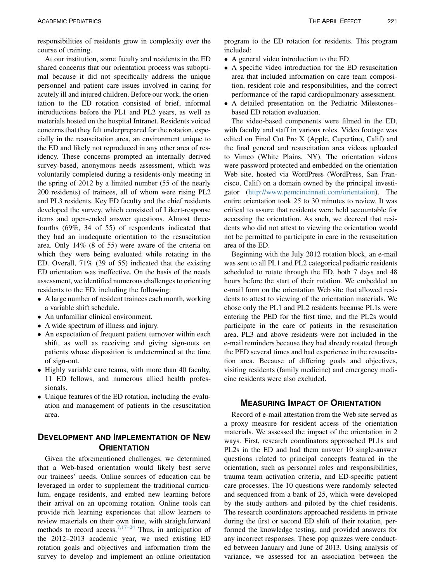At our institution, some faculty and residents in the ED shared concerns that our orientation process was suboptimal because it did not specifically address the unique personnel and patient care issues involved in caring for acutely ill and injured children. Before our work, the orientation to the ED rotation consisted of brief, informal introductions before the PL1 and PL2 years, as well as materials hosted on the hospital Intranet. Residents voiced concerns that they felt underprepared for the rotation, especially in the resuscitation area, an environment unique to the ED and likely not reproduced in any other area of residency. These concerns prompted an internally derived survey-based, anonymous needs assessment, which was voluntarily completed during a residents-only meeting in the spring of 2012 by a limited number (55 of the nearly 200 residents) of trainees, all of whom were rising PL2 and PL3 residents. Key ED faculty and the chief residents developed the survey, which consisted of Likert-response items and open-ended answer questions. Almost threefourths (69%, 34 of 55) of respondents indicated that they had an inadequate orientation to the resuscitation area. Only 14% (8 of 55) were aware of the criteria on which they were being evaluated while rotating in the ED. Overall, 71% (39 of 55) indicated that the existing ED orientation was ineffective. On the basis of the needs assessment, we identified numerous challenges to orienting residents to the ED, including the following:

- A large number of resident trainees each month, working a variable shift schedule.
- An unfamiliar clinical environment.
- A wide spectrum of illness and injury.
- An expectation of frequent patient turnover within each shift, as well as receiving and giving sign-outs on patients whose disposition is undetermined at the time of sign-out.
- Highly variable care teams, with more than 40 faculty, 11 ED fellows, and numerous allied health professionals.
- Unique features of the ED rotation, including the evaluation and management of patients in the resuscitation area.

# **DEVELOPMENT AND IMPLEMENTATION OF NEW ORIENTATION**

Given the aforementioned challenges, we determined that a Web-based orientation would likely best serve our trainees' needs. Online sources of education can be leveraged in order to supplement the traditional curriculum, engage residents, and embed new learning before their arrival on an upcoming rotation. Online tools can provide rich learning experiences that allow learners to review materials on their own time, with straightforward methods to record access.<sup>[7,17–24](#page-3-0)</sup> Thus, in anticipation of the 2012–2013 academic year, we used existing ED rotation goals and objectives and information from the survey to develop and implement an online orientation

- A general video introduction to the ED.
- A specific video introduction for the ED resuscitation area that included information on care team composition, resident role and responsibilities, and the correct performance of the rapid cardiopulmonary assessment.
- A detailed presentation on the Pediatric Milestones– based ED rotation evaluation.

The video-based components were filmed in the ED, with faculty and staff in various roles. Video footage was edited on Final Cut Pro X (Apple, Cupertino, Calif) and the final general and resuscitation area videos uploaded to Vimeo (White Plains, NY). The orientation videos were password protected and embedded on the orientation Web site, hosted via WordPress (WordPress, San Francisco, Calif) on a domain owned by the principal investigator [\(http://www.pemcincinnati.com/orientation](http://www.pemcincinnati.com/orientation)). The entire orientation took 25 to 30 minutes to review. It was critical to assure that residents were held accountable for accessing the orientation. As such, we decreed that residents who did not attest to viewing the orientation would not be permitted to participate in care in the resuscitation area of the ED.

Beginning with the July 2012 rotation block, an e-mail was sent to all PL1 and PL2 categorical pediatric residents scheduled to rotate through the ED, both 7 days and 48 hours before the start of their rotation. We embedded an e-mail form on the orientation Web site that allowed residents to attest to viewing of the orientation materials. We chose only the PL1 and PL2 residents because PL1s were entering the PED for the first time, and the PL2s would participate in the care of patients in the resuscitation area. PL3 and above residents were not included in the e-mail reminders because they had already rotated through the PED several times and had experience in the resuscitation area. Because of differing goals and objectives, visiting residents (family medicine) and emergency medicine residents were also excluded.

### **MEASURING IMPACT OF ORIENTATION**

Record of e-mail attestation from the Web site served as a proxy measure for resident access of the orientation materials. We assessed the impact of the orientation in 2 ways. First, research coordinators approached PL1s and PL2s in the ED and had them answer 10 single-answer questions related to principal concepts featured in the orientation, such as personnel roles and responsibilities, trauma team activation criteria, and ED-specific patient care processes. The 10 questions were randomly selected and sequenced from a bank of 25, which were developed by the study authors and piloted by the chief residents. The research coordinators approached residents in private during the first or second ED shift of their rotation, performed the knowledge testing, and provided answers for any incorrect responses. These pop quizzes were conducted between January and June of 2013. Using analysis of variance, we assessed for an association between the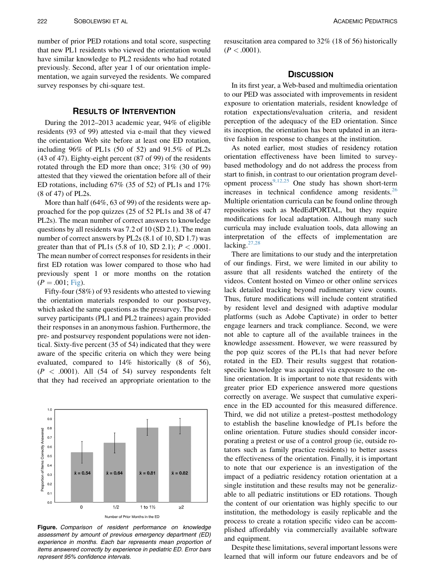number of prior PED rotations and total score, suspecting that new PL1 residents who viewed the orientation would have similar knowledge to PL2 residents who had rotated previously. Second, after year 1 of our orientation implementation, we again surveyed the residents. We compared survey responses by chi-square test.

### **RESULTS OF INTERVENTION**

During the  $2012-2013$  academic year, 94% of eligible residents (93 of 99) attested via e-mail that they viewed the orientation Web site before at least one ED rotation, including  $96\%$  of PL1s (50 of 52) and  $91.5\%$  of PL2s (43 of 47). Eighty-eight percent (87 of 99) of the residents rotated through the ED more than once; 31% (30 of 99) attested that they viewed the orientation before all of their ED rotations, including 67% (35 of 52) of PL1s and 17% (8 of 47) of PL2s.

More than half (64%, 63 of 99) of the residents were approached for the pop quizzes (25 of 52 PL1s and 38 of 47 PL2s). The mean number of correct answers to knowledge questions by all residents was 7.2 of 10 (SD 2.1). The mean number of correct answers by PL2s (8.1 of 10, SD 1.7) was greater than that of PL1s  $(5.8 \text{ of } 10, SD 2.1); P < .0001$ . The mean number of correct responses for residents in their first ED rotation was lower compared to those who had previously spent 1 or more months on the rotation  $(P = .001; Fig).$ 

Fifty-four (58%) of 93 residents who attested to viewing the orientation materials responded to our postsurvey, which asked the same questions as the presurvey. The postsurvey participants (PL1 and PL2 trainees) again provided their responses in an anonymous fashion. Furthermore, the pre- and postsurvey respondent populations were not identical. Sixty-five percent (35 of 54) indicated that they were aware of the specific criteria on which they were being evaluated, compared to 14% historically (8 of 56),  $(P < .0001)$ . All (54 of 54) survey respondents felt that they had received an appropriate orientation to the



Figure. Comparison of resident performance on knowledge assessment by amount of previous emergency department (ED) experience in months. Each bar represents mean proportion of items answered correctly by experience in pediatric ED. Error bars represent 95% confidence intervals.

resuscitation area compared to 32% (18 of 56) historically  $(P < .0001)$ .

In its first year, a Web-based and multimedia orientation to our PED was associated with improvements in resident exposure to orientation materials, resident knowledge of rotation expectations/evaluation criteria, and resident perception of the adequacy of the ED orientation. Since its inception, the orientation has been updated in an iterative fashion in response to changes at the institution.

As noted earlier, most studies of residency rotation orientation effectiveness have been limited to surveybased methodology and do not address the process from start to finish, in contrast to our orientation program devel-opment process<sup>[9,12,25](#page-3-0)</sup> One study has shown short-term increases in technical confidence among residents. $^{26}$  $^{26}$  $^{26}$ Multiple orientation curricula can be found online through repositories such as MedEdPORTAL, but they require modifications for local adaptation. Although many such curricula may include evaluation tools, data allowing an interpretation of the effects of implementation are lacking.<sup>[27,28](#page-3-0)</sup>

There are limitations to our study and the interpretation of our findings. First, we were limited in our ability to assure that all residents watched the entirety of the videos. Content hosted on Vimeo or other online services lack detailed tracking beyond rudimentary view counts. Thus, future modifications will include content stratified by resident level and designed with adaptive modular platforms (such as Adobe Captivate) in order to better engage learners and track compliance. Second, we were not able to capture all of the available trainees in the knowledge assessment. However, we were reassured by the pop quiz scores of the PL1s that had never before rotated in the ED. Their results suggest that rotationspecific knowledge was acquired via exposure to the online orientation. It is important to note that residents with greater prior ED experience answered more questions correctly on average. We suspect that cumulative experience in the ED accounted for this measured difference. Third, we did not utilize a pretest–posttest methodology to establish the baseline knowledge of PL1s before the online orientation. Future studies should consider incorporating a pretest or use of a control group (ie, outside rotators such as family practice residents) to better assess the effectiveness of the orientation. Finally, it is important to note that our experience is an investigation of the impact of a pediatric residency rotation orientation at a single institution and these results may not be generalizable to all pediatric institutions or ED rotations. Though the content of our orientation was highly specific to our institution, the methodology is easily replicable and the process to create a rotation specific video can be accomplished affordably via commercially available software and equipment.

Despite these limitations, several important lessons were learned that will inform our future endeavors and be of